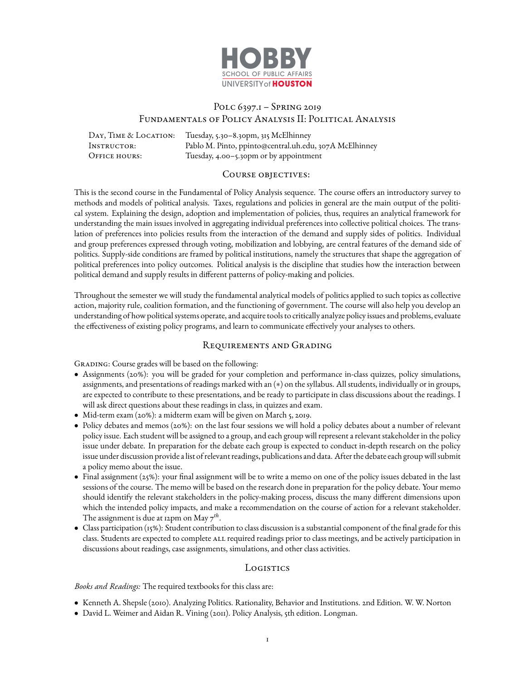

# Polc 6397.1 – Spring 2019 Fundamentals of Policy Analysis II: Political Analysis

DAY, TIME & LOCATION: Tuesday, 5.30–8.30pm, 315 McElhinney Instructor: Pablo M. Pinto, ppinto@central.uh.edu, 307A McElhinney OFFICE HOURS: Tuesday, 4.00-5.30pm or by appointment

### COURSE OBJECTIVES:

This is the second course in the Fundamental of Policy Analysis sequence. The course offers an introductory survey to methods and models of political analysis. Taxes, regulations and policies in general are the main output of the political system. Explaining the design, adoption and implementation of policies, thus, requires an analytical framework for understanding the main issues involved in aggregating individual preferences into collective political choices. The translation of preferences into policies results from the interaction of the demand and supply sides of politics. Individual and group preferences expressed through voting, mobilization and lobbying, are central features of the demand side of politics. Supply-side conditions are framed by political institutions, namely the structures that shape the aggregation of political preferences into policy outcomes. Political analysis is the discipline that studies how the interaction between political demand and supply results in different patterns of policy-making and policies.

Throughout the semester we will study the fundamental analytical models of politics applied to such topics as collective action, majority rule, coalition formation, and the functioning of government. The course will also help you develop an understanding of how political systems operate, and acquire tools to critically analyze policy issues and problems, evaluate the effectiveness of existing policy programs, and learn to communicate effectively your analyses to others.

## Requirements and Grading

GRADING: Course grades will be based on the following:

- Assignments (20%): you will be graded for your completion and performance in-class quizzes, policy simulations, assignments, and presentations of readings marked with an (∗) on the syllabus. All students, individually or in groups, are expected to contribute to these presentations, and be ready to participate in class discussions about the readings. I will ask direct questions about these readings in class, in quizzes and exam.
- Mid-term exam (20%): a midterm exam will be given on March 5, 2019.
- Policy debates and memos (20%): on the last four sessions we will hold a policy debates about a number of relevant policy issue. Each student will be assigned to a group, and each group will represent a relevant stakeholder in the policy issue under debate. In preparation for the debate each group is expected to conduct in-depth research on the policy issue under discussion provide a list of relevant readings, publications and data. After the debate each group will submit a policy memo about the issue.
- Final assignment (25%): your final assignment will be to write a memo on one of the policy issues debated in the last sessions of the course. The memo will be based on the research done in preparation for the policy debate. Your memo should identify the relevant stakeholders in the policy-making process, discuss the many different dimensions upon which the intended policy impacts, and make a recommendation on the course of action for a relevant stakeholder. The assignment is due at 12pm on May 7*th* .
- Class participation (15%): Student contribution to class discussion is a substantial component of the final grade for this class. Students are expected to complete ALL required readings prior to class meetings, and be actively participation in discussions about readings, case assignments, simulations, and other class activities.

## Logistics

## *Books and Readings:* The required textbooks for this class are:

- Kenneth A. Shepsle (2010). Analyzing Politics. Rationality, Behavior and Institutions. 2nd Edition. W. W. Norton
- David L. Weimer and Aidan R. Vining (2011). Policy Analysis, 5th edition. Longman.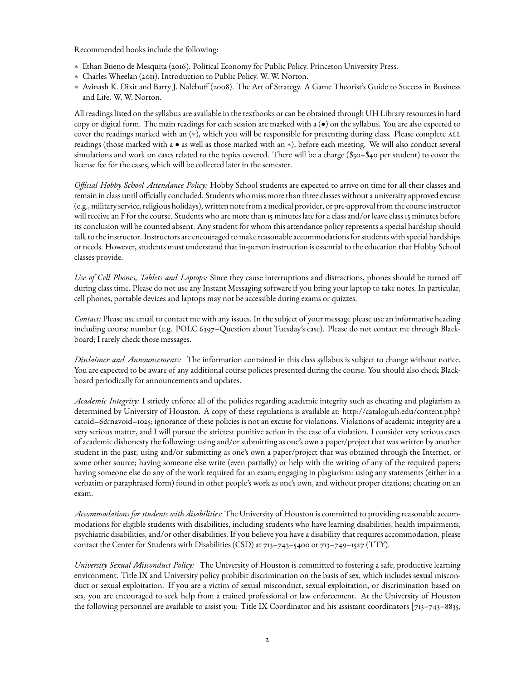Recommended books include the following:

- ∗ Ethan Bueno de Mesquita (2016). Political Economy for Public Policy. Princeton University Press.
- ∗ Charles Wheelan (2011). Introduction to Public Policy. W. W. Norton.
- ∗ Avinash K. Dixit and Barry J. Nalebuff (2008). The Art of Strategy. A Game Theorist's Guide to Success in Business and Life. W. W. Norton.

All readings listed on the syllabus are available in the textbooks or can be obtained through UH Library resources in hard copy or digital form. The main readings for each session are marked with a (•) on the syllabus. You are also expected to cover the readings marked with an (\*), which you will be responsible for presenting during class. Please complete ALL readings (those marked with a • as well as those marked with an ∗), before each meeting. We will also conduct several simulations and work on cases related to the topics covered. There will be a charge (\$30–\$40 per student) to cover the license fee for the cases, which will be collected later in the semester.

*Official Hobby School Attendance Policy:* Hobby School students are expected to arrive on time for all their classes and remain in class until officially concluded. Students who miss more than three classes without a university approved excuse (e.g., military service, religious holidays), written note from a medical provider, or pre-approval from the course instructor will receive an F for the course. Students who are more than 15 minutes late for a class and/or leave class 15 minutes before its conclusion will be counted absent. Any student for whom this attendance policy represents a special hardship should talk to the instructor. Instructors are encouraged to make reasonable accommodations for students with special hardships or needs. However, students must understand that in-person instruction is essential to the education that Hobby School classes provide.

*Use of Cell Phones, Tablets and Laptops:* Since they cause interruptions and distractions, phones should be turned off during class time. Please do not use any Instant Messaging software if you bring your laptop to take notes. In particular, cell phones, portable devices and laptops may not be accessible during exams or quizzes.

*Contact:* Please use email to contact me with any issues. In the subject of your message please use an informative heading including course number (e.g. POLC 6397–Question about Tuesday's case). Please do not contact me through Blackboard; I rarely check those messages.

*Disclaimer and Announcements:* The information contained in this class syllabus is subject to change without notice. You are expected to be aware of any additional course policies presented during the course. You should also check Blackboard periodically for announcements and updates.

*Academic Integrity:* I strictly enforce all of the policies regarding academic integrity such as cheating and plagiarism as determined by University of Houston. A copy of these regulations is available at: [http://catalog.uh.edu/content.php?](http://catalog.uh.edu/content.php?catoid=6&navoid=1025) [catoid=6&navoid=1025;](http://catalog.uh.edu/content.php?catoid=6&navoid=1025) ignorance of these policies is not an excuse for violations. Violations of academic integrity are a very serious matter, and I will pursue the strictest punitive action in the case of a violation. I consider very serious cases of academic dishonesty the following: using and/or submitting as one's own a paper/project that was written by another student in the past; using and/or submitting as one's own a paper/project that was obtained through the Internet, or some other source; having someone else write (even partially) or help with the writing of any of the required papers; having someone else do any of the work required for an exam; engaging in plagiarism: using any statements (either in a verbatim or paraphrased form) found in other people's work as one's own, and without proper citations; cheating on an exam.

*Accommodations for students with disabilities:* The University of Houston is committed to providing reasonable accommodations for eligible students with disabilities, including students who have learning disabilities, health impairments, psychiatric disabilities, and/or other disabilities. If you believe you have a disability that requires accommodation, please contact the Center for Students with Disabilities (CSD) at 713–743–5400 or 713–749–1527 (TTY).

*University Sexual Misconduct Policy:* The University of Houston is committed to fostering a safe, productive learning environment. Title IX and University policy prohibit discrimination on the basis of sex, which includes sexual misconduct or sexual exploitation. If you are a victim of sexual misconduct, sexual exploitation, or discrimination based on sex, you are encouraged to seek help from a trained professional or law enforcement. At the University of Houston the following personnel are available to assist you: Title IX Coordinator and his assistant coordinators [713–743–8835,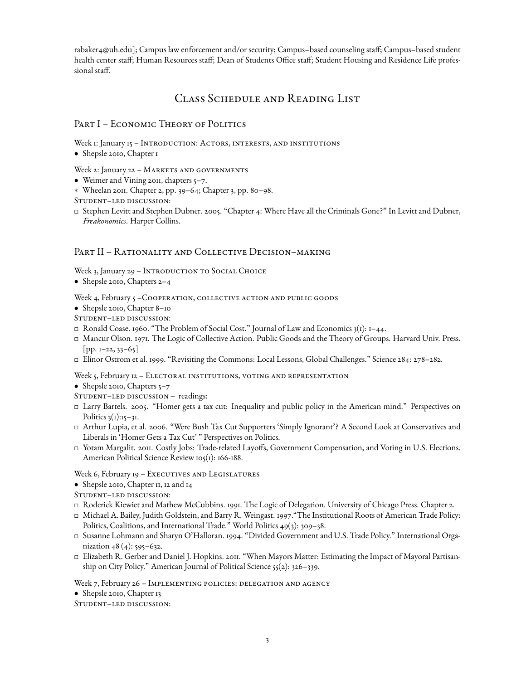rabaker4@uh.edu]; Campus law enforcement and/or security; Campus–based counseling staff; Campus–based student health center staff; Human Resources staff; Dean of Students Office staff; Student Housing and Residence Life professional staff.

# Class Schedule and Reading List

## PART I – ECONOMIC THEORY OF POLITICS

Week 1: January 15 - INTRODUCTION: ACTORS, INTERESTS, AND INSTITUTIONS

• Shepsle 2010, Chapter 1

Week 2: January 22 - MARKETS AND GOVERNMENTS

- Weimer and Vining 2011, chapters 5-7.
- ∗ Wheelan 2011. Chapter 2, pp. 39–64; Chapter 3, pp. 80–98.

Student–led discussion:

 Stephen Levitt and Stephen Dubner. 2005. "Chapter 4: Where Have all the Criminals Gone?" In Levitt and Dubner, *Freakonomics*. Harper Collins.

## PART II – RATIONALITY AND COLLECTIVE DECISION–MAKING

Week 3, January 29 - INTRODUCTION TO SOCIAL CHOICE

• Shepsle 2010, Chapters 2–4

Week 4, February 5 -COOPERATION, COLLECTIVE ACTION AND PUBLIC GOODS

- Shepsle 2010, Chapter 8–10
- Student–led discussion:
- $\Box$  Ronald Coase. 1960. "The Problem of Social Cost." Journal of Law and Economics 3(1): 1–44.
- Mancur Olson. 1971. The Logic of Collective Action. Public Goods and the Theory of Groups. Harvard Univ. Press.  $[pp. I-22, 33-65]$
- Elinor Ostrom et al. 1999. "Revisiting the Commons: Local Lessons, Global Challenges." Science 284: 278–282.

Week 5, February 12 – ELECTORAL INSTITUTIONS, VOTING AND REPRESENTATION

- Shepsle 2010, Chapters 5-7
- Student–led discussion readings:
- Larry Bartels. 2005. "Homer gets a tax cut: Inequality and public policy in the American mind." Perspectives on Politics  $3(1):15-31$ .
- Arthur Lupia, et al. 2006. "Were Bush Tax Cut Supporters 'Simply Ignorant'? A Second Look at Conservatives and Liberals in 'Homer Gets a Tax Cut' " Perspectives on Politics.
- Yotam Margalit. 2011. Costly Jobs: Trade-related Layoffs, Government Compensation, and Voting in U.S. Elections. American Political Science Review 105(1): 166-188.

Week 6, February 19 - EXECUTIVES AND LEGISLATURES

- Shepsle 2010, Chapter 11, 12 and 14
- Student–led discussion:
- Roderick Kiewiet and Mathew McCubbins. 1991. The Logic of Delegation. University of Chicago Press. Chapter 2.
- Michael A. Bailey, Judith Goldstein, and Barry R. Weingast. 1997."The Institutional Roots of American Trade Policy: Politics, Coalitions, and International Trade." World Politics 49(3): 309–38.
- Susanne Lohmann and Sharyn O'Halloran. 1994. "Divided Government and U.S. Trade Policy." International Organization  $48(4)$ : 595–632.
- Elizabeth R. Gerber and Daniel J. Hopkins. 2011. "When Mayors Matter: Estimating the Impact of Mayoral Partisanship on City Policy." American Journal of Political Science 55(2): 326–339.

Week 7, February 26 - IMPLEMENTING POLICIES: DELEGATION AND AGENCY

- Shepsle 2010, Chapter 13
- Student–led discussion: